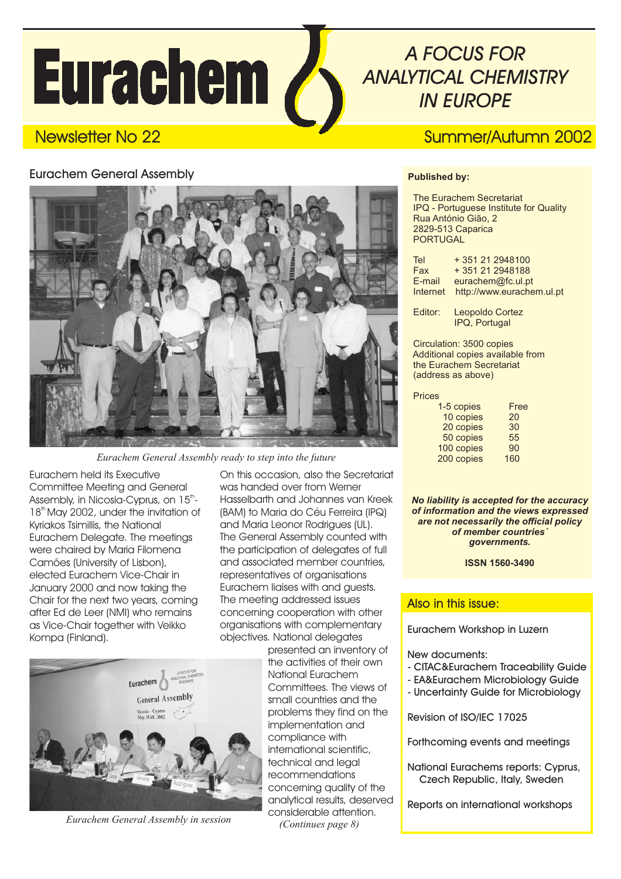# **Eurachem /**

## *A FOCUS FOR ANALYTICAL CHEMISTRY IN EUROPE*



*Eurachem General Assembly ready to step into the future*

Eurachem held its Executive Committee Meeting and General Assembly, in Nicosia-Cyprus, on  $15^{\text{th}}$ -18<sup>th</sup> May 2002, under the invitation of Kyriakos Tsimillis, the National Eurachem Delegate. The meetings were chaired by Maria Filomena Camões (University of Lisbon), elected Eurachem Vice-Chair in January 2000 and now taking the Chair for the next two years, coming after Ed de Leer (NMI) who remains as Vice-Chair together with Veikko Kompa (Finland).

On this occasion, also the Secretariat was handed over from Werner Hasselbarth and Johannes van Kreek (BAM) to Maria do Céu Ferreira (IPQ) and Maria Leonor Rodrigues (UL). The General Assembly counted with the participation of delegates of full and associated member countries, representatives of organisations Eurachem liaises with and guests. The meeting addressed issues concerning cooperation with other organisations with complementary objectives. National delegates



*Eurachem General Assembly in session*

presented an inventory of the activities of their own National Eurachem Committees. The views of small countries and the problems they find on the implementation and compliance with international scientific, technical and leagl recommendations concerning quality of the analytical results, deserved considerable attention. *(Continues page 8)*

## Newsletter No 22 Summer/Autumn 2002

#### **Published by:**

The Eurachem Secretariat IPQ - Portuguese Institute for Quality Rua António Gião, 2 2829-513 Caparica PORTUGAL

| Tel      | $+351212948100$           |
|----------|---------------------------|
| Fax      | +351212948188             |
| E-mail   | eurachem@fc.ul.pt         |
| Internet | http://www.eurachem.ul.pt |

Editor: Leopoldo Cortez IPQ, Portugal

Circulation: 3500 copies Additional copies available from the Eurachem Secretariat (address as above)

#### Prices

| 1-5 copies | Free |
|------------|------|
| 10 copies  | 20   |
| 20 copies  | 30   |
| 50 copies  | 55   |
| 100 copies | 90   |
| 200 copies | 160  |
|            |      |

*No liability is accepted for the accuracy of information and the views expressed are not necessarily the official policy of member countries´ governments.*

**ISSN 1560-3490**

#### Also in this issue:

Eurachem Workshop in Luzern

New documents:

- CITAC&Eurachem Traceability Guide
- EA&Eurachem Microbiology Guide
- Uncertainty Guide for Microbiology

Revision of ISO/IEC 17025

Forthcoming events and meetings

National Eurachems reports: Cyprus, Czech Republic, Italy, Sweden

Reports on international workshops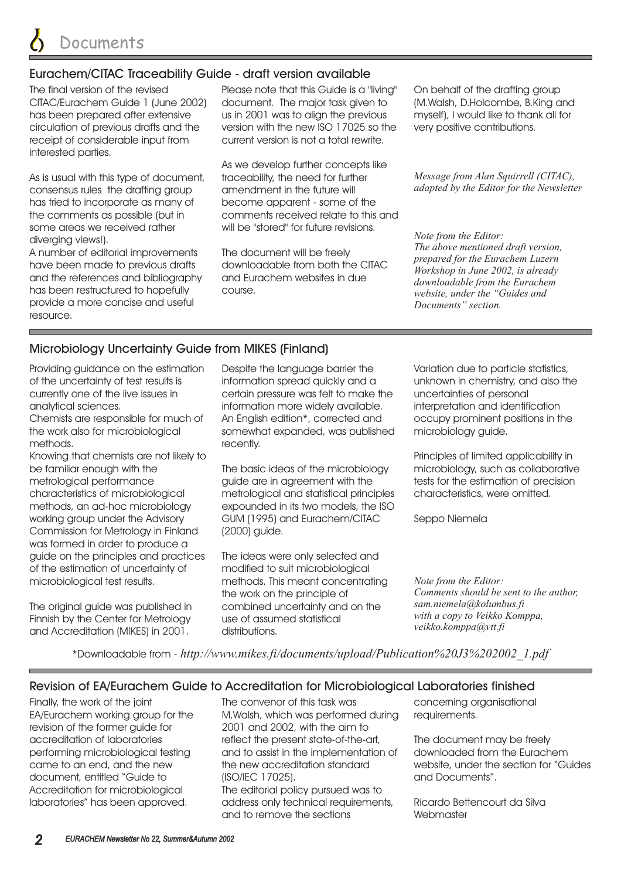#### Eurachem/CITAC Traceability Guide - draft version available

The final version of the revised CITAC/Eurachem Guide 1 (June 2002) has been prepared after extensive circulation of previous drafts and the receipt of considerable input from interested parties.

As is usual with this type of document, consensus rules the drafting group has tried to incorporate as many of the comments as possible (but in some areas we received rather diverging views!).

A number of editorial improvements have been made to previous drafts and the references and bibliography has been restructured to hopefully provide a more concise and useful resource.

Please note that this Guide is a "living" document. The major task given to us in 2001 was to align the previous version with the new ISO 17025 so the current version is not a total rewrite.

As we develop further concepts like traceability, the need for further amendment in the future will become apparent - some of the comments received relate to this and will be "stored" for future revisions.

The document will be freely downloadable from both the CITAC and Eurachem websites in due course.

On behalf of the drafting group (M.Walsh, D.Holcombe, B.King and myself), I would like to thank all for very positive contributions.

*Message from Alan Squirrell (CITAC), adapted by the Editor for the Newsletter*

*Note from the Editor: The above mentioned draft version, prepared for the Eurachem Luzern Workshop in June 2002, is already downloadable from the Eurachem website, under the "Guides and Documents" section.*

### Microbiology Uncertainty Guide from MIKES (Finland)

Providing guidance on the estimation of the uncertainty of test results is currently one of the live issues in analytical sciences.

Chemists are responsible for much of the work also for microbiological methods.

Knowing that chemists are not likely to be familiar enough with the metrological performance characteristics of microbiological methods, an ad-hoc microbiology working group under the Advisory Commission for Metrology in Finland was formed in order to produce a guide on the principles and practices of the estimation of uncertainty of microbiological test results.

The original guide was published in Finnish by the Center for Metrology and Accreditation (MIKES) in 2001.

Despite the language barrier the information spread quickly and a certain pressure was felt to make the information more widely available. An English edition\*, corrected and somewhat expanded, was published recently.

The basic ideas of the microbiology guide are in agreement with the metrological and statistical principles expounded in its two models, the ISO GUM (1995) and Eurachem/CITAC (2000) guide.

The ideas were only selected and modified to suit microbiological methods. This meant concentrating the work on the principle of combined uncertainty and on the use of assumed statistical distributions.

Variation due to particle statistics, unknown in chemistry, and also the uncertainties of personal interpretation and identification occupy prominent positions in the microbiology guide.

Principles of limited applicability in microbiology, such as collaborative tests for the estimation of precision characteristics, were omitted.

Seppo Niemela

*Note from the Editor: Comments should be sent to the author, sam.niemela@kolumbus.fi with a copy to Veikko Komppa, veikko.komppa@vtt.fi*

\*Downloadable from - *http://www.mikes.fi/documents/upload/Publication%20J3%202002\_1.pdf*

#### Revision of EA/Eurachem Guide to Accreditation for Microbiological Laboratories finished

Finally, the work of the joint EA/Eurachem working group for the revision of the former guide for accreditation of laboratories performing microbiological testing came to an end, and the new document, entitled "Guide to Accreditation for microbiological laboratories" has been approved.

The convenor of this task was M.Walsh, which was performed during 2001 and 2002, with the aim to reflect the present state-of-the-art, and to assist in the implementation of the new accreditation standard (ISO/IEC 17025).

The editorial policy pursued was to address only technical requirements, and to remove the sections

concerning organisational requirements.

The document may be freely downloaded from the Eurachem website, under the section for "Guides and Documents".

Ricardo Bettencourt da Silva **Webmaster**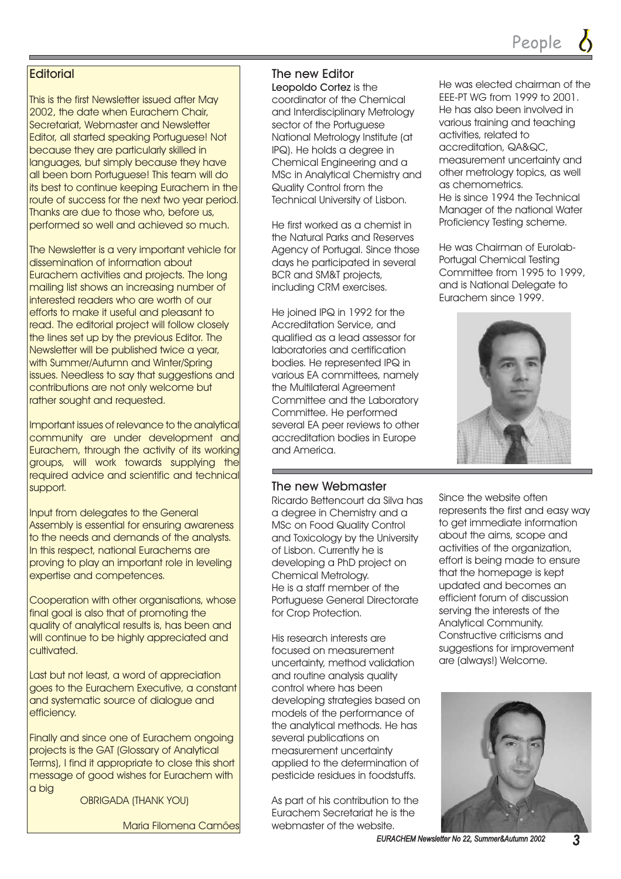#### **Editorial**

This is the first Newsletter issued after May 2002, the date when Eurachem Chair, Secretariat, Webmaster and Newsletter Editor, all started speaking Portuguese! Not because they are particularly skilled in languages, but simply because they have all been born Portuguese! This team will do its best to continue keeping Eurachem in the route of success for the next two year period. Thanks are due to those who, before us, performed so well and achieved so much.

The Newsletter is a very important vehicle for dissemination of information about Eurachem activities and projects. The long mailing list shows an increasing number of interested readers who are worth of our efforts to make it useful and pleasant to read. The editorial project will follow closely the lines set up by the previous Editor. The Newsletter will be published twice a year, with Summer/Autumn and Winter/Spring issues. Needless to say that suggestions and contributions are not only welcome but rather sought and requested.

Important issues of relevance to the analytical community are under development and Eurachem, through the activity of its working groups, will work towards supplying the required advice and scientific and technical support.

Input from delegates to the General Assembly is essential for ensuring awareness to the needs and demands of the analysts. In this respect, national Eurachems are proving to play an important role in leveling expertise and competences.

Cooperation with other organisations, whose final goal is also that of promoting the quality of analytical results is, has been and will continue to be highly appreciated and cultivated.

Last but not least, a word of appreciation goes to the Eurachem Executive, a constant and systematic source of dialogue and efficiency.

Finally and since one of Eurachem ongoing projects is the GAT (Glossary of Analytical Terms), I find it appropriate to close this short message of good wishes for Eurachem with a big

OBRIGADA (THANK YOU)

Maria Filomena Camões

#### The new Editor

Leopoldo Cortez is the coordinator of the Chemical and Interdisciplinary Metrology sector of the Portuguese National Metrology Institute (at IPQ). He holds a degree in Chemical Engineering and a MSc in Analytical Chemistry and Quality Control from the Technical University of Lisbon.

He first worked as a chemist in the Natural Parks and Reserves Agency of Portugal. Since those days he participated in several BCR and SM&T projects, including CRM exercises.

He joined IPQ in 1992 for the Accreditation Service, and qualified as a lead assessor for laboratories and certification bodies. He represented IPQ in various EA committees, namely the Multilateral Agreement Committee and the Laboratory Committee. He performed several EA peer reviews to other accreditation bodies in Europe and America.

#### The new Webmaster

Ricardo Bettencourt da Silva has a degree in Chemistry and a MSc on Food Quality Control and Toxicology by the University of Lisbon. Currently he is developing a PhD project on Chemical Metrology. He is a staff member of the Portuguese General Directorate for Crop Protection.

His research interests are focused on measurement uncertainty, method validation and routine analysis quality control where has been developing strategies based on models of the performance of the analytical methods. He has several publications on measurement uncertainty applied to the determination of pesticide residues in foodstuffs.

As part of his contribution to the Eurachem Secretariat he is the webmaster of the website.

He was elected chairman of the EEE-PT WG from 1999 to 2001. He has also been involved in various training and teaching activities, related to accreditation, QA&QC, measurement uncertainty and other metrology topics, as well as chemometrics. He is since 1994 the Technical Manager of the national Water Proficiency Testing scheme.

He was Chairman of Eurolab-Portugal Chemical Testing Committee from 1995 to 1999, and is National Delegate to Eurachem since 1999.



Since the website often represents the first and easy way to get immediate information about the aims, scope and activities of the organization, effort is being made to ensure that the homepage is kept updated and becomes an efficient forum of discussion serving the interests of the Analytical Community. Constructive criticisms and suggestions for improvement are (always!) Welcome.



*EURACHEM Newsletter No 22, Summer&Autumn 2002 EURACHEM Newsletter No 22, Summer&Autumn 3*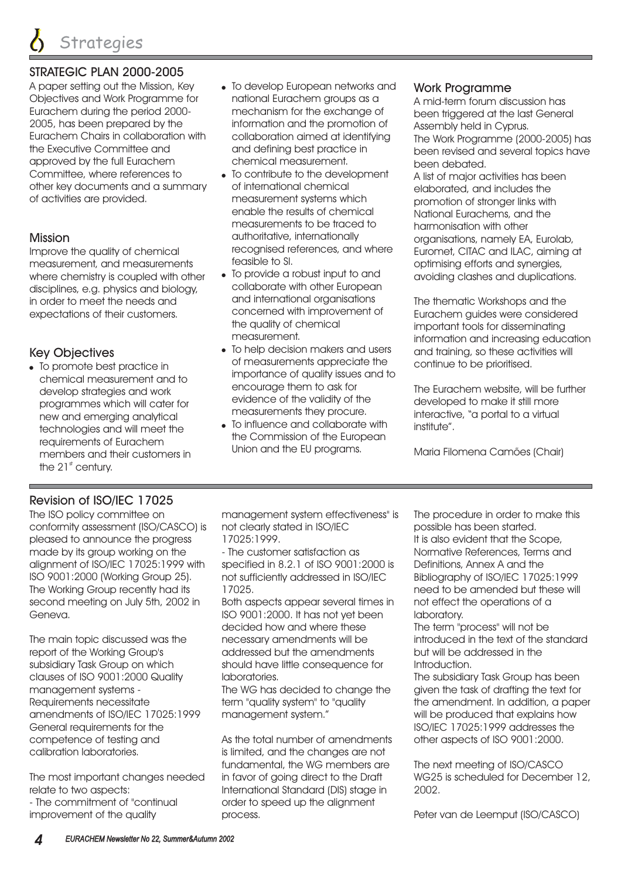#### STRATEGIC PLAN 2000-2005

A paper setting out the Mission, Key Objectives and Work Programme for Eurachem during the period 2000- 2005, has been prepared by the Eurachem Chairs in collaboration with the Executive Committee and approved by the full Eurachem Committee, where references to other key documents and a summary of activities are provided.

#### Mission

Improve the quality of chemical measurement, and measurements where chemistry is coupled with other disciplines, e.g. physics and biology, in order to meet the needs and expectations of their customers.

#### Key Objectives

To promote best practice in chemical measurement and to develop strategies and work programmes which will cater for new and emerging analytical technologies and will meet the requirements of Eurachem members and their customers in the 21 $<sup>st</sup>$  century.</sup>

- To develop European networks and national Eurachem groups as a mechanism for the exchange of information and the promotion of collaboration aimed at identifying and defining best practice in chemical measurement.
- To contribute to the development of international chemical measurement systems which enable the results of chemical measurements to be traced to authoritative, internationally recognised references, and where feasible to SI.
- To provide a robust input to and collaborate with other European and international organisations concerned with improvement of the quality of chemical measurement.
- To help decision makers and users of measurements appreciate the importance of quality issues and to encourage them to ask for evidence of the validity of the measurements they procure.
- To influence and collaborate with the Commission of the European Union and the EU programs.

#### Work Programme

A mid-term forum discussion has been triggered at the last General Assembly held in Cyprus. The Work Programme (2000-2005) has been revised and several topics have been debated.

A list of major activities has been elaborated, and includes the promotion of stronger links with National Eurachems, and the harmonisation with other organisations, namely EA, Eurolab, Euromet, CITAC and ILAC, aiming at optimising efforts and synergies, avoiding clashes and duplications.

The thematic Workshops and the Eurachem guides were considered important tools for disseminating information and increasing education and training, so these activities will continue to be prioritised.

The Eurachem website, will be further developed to make it still more interactive, "a portal to a virtual institute".

Maria Filomena Camões (Chair)

#### Revision of ISO/IEC 17025

The ISO policy committee on conformity assessment (ISO/CASCO) is pleased to announce the progress made by its group working on the alignment of ISO/IEC 17025:1999 with ISO 9001:2000 (Working Group 25). The Working Group recently had its second meeting on July 5th, 2002 in Geneva.

The main topic discussed was the report of the Working Group's subsidiary Task Group on which clauses of ISO 9001:2000 Quality management systems - Requirements necessitate amendments of ISO/IEC 17025:1999 General requirements for the competence of testing and calibration laboratories.

The most important changes needed relate to two aspects: - The commitment of "continual improvement of the quality

management system effectiveness" is not clearly stated in ISO/IEC 17025:1999.

- The customer satisfaction as specified in 8.2.1 of ISO 9001:2000 is not sufficiently addressed in ISO/IEC 17025.

Both aspects appear several times in ISO 9001:2000. It has not yet been decided how and where these necessary amendments will be addressed but the amendments should have little consequence for laboratories.

The WG has decided to change the term "quality system" to "quality management system."

As the total number of amendments is limited, and the changes are not fundamental, the WG members are in favor of going direct to the Draft International Standard (DIS) stage in order to speed up the alignment process.

The procedure in order to make this possible has been started. It is also evident that the Scope, Normative References, Terms and Definitions, Annex A and the Bibliography of ISO/IEC 17025:1999 need to be amended but these will not effect the operations of a laboratory.

The term "process" will not be introduced in the text of the standard but will be addressed in the Introduction.

The subsidiary Task Group has been given the task of drafting the text for the amendment. In addition, a paper will be produced that explains how ISO/IEC 17025:1999 addresses the other aspects of ISO 9001:2000.

The next meeting of ISO/CASCO WG25 is scheduled for December 12, 2002.

Peter van de Leemput (ISO/CASCO)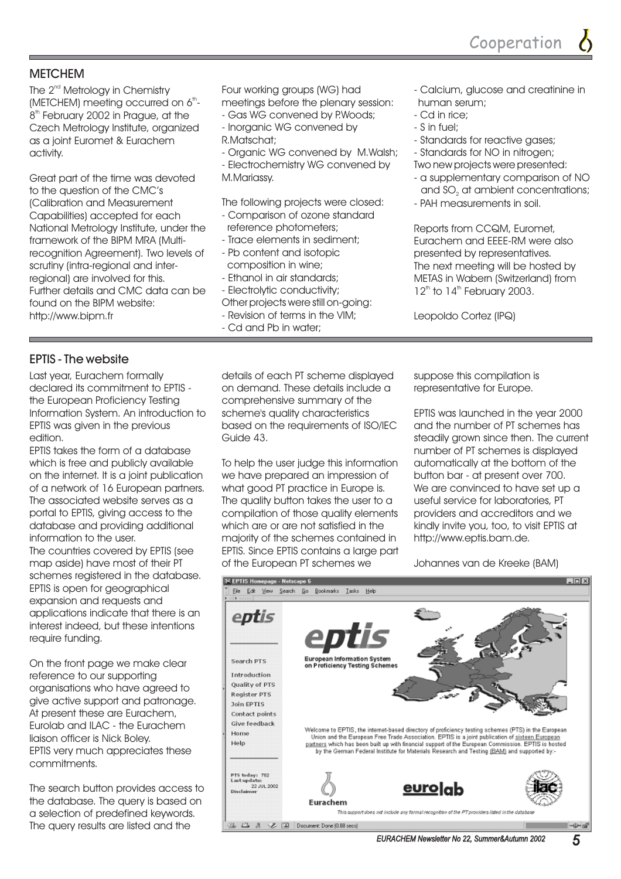#### **METCHEM**

The  $2^{\text{nd}}$  Metrology in Chemistry (METCHEM) meeting occurred on 6<sup>th</sup>- $8<sup>th</sup>$  February 2002 in Prague, at the Czech Metrology Institute, organized as a joint Euromet & Eurachem activity.

Great part of the time was devoted to the question of the CMC's (Calibration and Measurement Capabilities) accepted for each National Metrology Institute, under the framework of the BIPM MRA (Multirecognition Agreement). Two levels of scrutiny (intra-regional and interregional) are involved for this. Further details and CMC data can be found on the BIPM website: http://www.bipm.fr

Four working groups (WG) had meetings before the plenary session:

- Gas WG convened by P.Woods; - organized Inorganic WG convened by
	- R.Matschat;
	- Organic WG convened by M.Walsh; - Electrochemistry WG convened by M.Mariassy.

The following projects were closed: - Comparison of ozone standard

- reference photometers;
- Trace elements in sediment;
- Pb content and isotopic composition in wine;
- Ethanol in air standards;
- Electrolytic conductivity;
- Other projects were still on-going:
- Revision of terms in the VIM;
- Cd and Pb in water;
- Calcium, glucose and creatinine in human serum;
- Cd in rice;
- S in fuel;
- Standards for reactive gases;
- Standards for NO in nitrogen;
- Two new projects were presented:
- a supplementary comparison of NO and SO $_{\tiny 2}$  at ambient concentrations;
- PAH measurements in soil.

Reports from Euromet, CCQM, Eurachem and EEEE-RM were also presented by representatives. The next meeting will be hosted by METAS in Wabern (Switzerland) from  $12<sup>th</sup>$  to  $14<sup>th</sup>$  February 2003.

Leopoldo Cortez (IPQ)

#### EPTIS - The website

Last year, Eurachem formally declared its commitment to EPTIS the European Proficiency Testing Information System. An introduction to EPTIS was given in the previous edition.

EPTIS takes the form of a database which is free and publicly available on the internet. It is a joint publication of a network of 16 European partners. The associated website serves as a portal to EPTIS, giving access to the database and providing additional information to the user. The countries covered by EPTIS (see map aside) have most of their PT schemes registered in the database. EPTIS is open for geographical expansion and requests and applications indicate that there is an interest indeed, but these intentions require funding.

On the front page we make clear reference to our supporting organisations who have agreed to give active support and patronage. At present these are Eurachem, Eurolab and ILAC - the Eurachem liaison officer is Nick Boley. EPTIS very much appreciates these commitments.

The search button provides access to the database. The query is based on a selection of predefined keywords. The query results are listed and the

details of each PT scheme displayed on demand. These details include a comprehensive summary of the scheme's quality characteristics based on the requirements of ISO/IEC Guide 43.

To help the user judge this information we have prepared an impression of what good PT practice in Europe is. The quality button takes the user to a compilation of those quality elements which are or are not satisfied in the majority of the schemes contained in EPTIS. Since EPTIS contains a large part of the European PT schemes we

suppose this compilation is representative for Europe.

EPTIS was launched in the year 2000 and the number of PT schemes has steadily grown since then. The current number of PT schemes is displayed automatically at the bottom of the button bar - at present over 700. We are convinced to have set up a useful service for laboratories, PT providers and accreditors and we kindly invite you, too, to visit EPTIS at http://www.eptis.bam.de.

Johannes van de Kreeke (BAM)

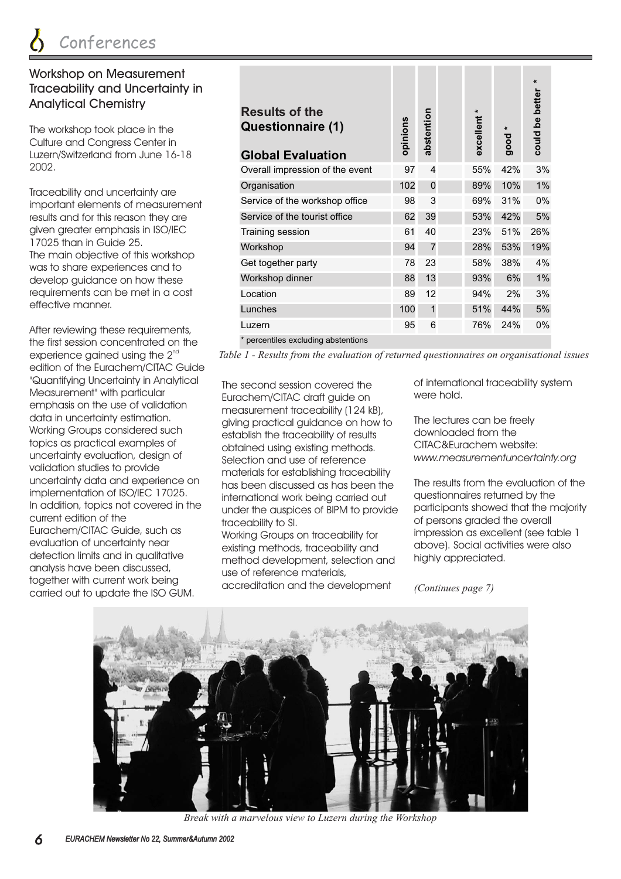#### Workshop on Measurement Traceability and Uncertainty in Analytical Chemistry

The workshop took place in the Culture and Congress Center in Luzern/Switzerland from June 16-18 2002.

Traceability and uncertainty are important elements of measurement results and for this reason they are given greater emphasis in ISO/IEC 17025 than in Guide 25. The main objective of this workshop was to share experiences and to develop guidance on how these requirements can be met in a cost effective manner.

After reviewing these requirements, the first session concentrated on the experience gained using the  $2^{\text{nd}}$ edition of the Eurachem/CITAC Guide "Quantifying Uncertainty in Analytical Measurement" with particular emphasis on the use of validation data in uncertainty estimation. Working Groups considered such topics as practical examples of uncertainty evaluation, design of validation studies to provide uncertainty data and experience on implementation of ISO/IEC 17025. In addition, topics not covered in the current edition of the Eurachem/CITAC Guide, such as evaluation of uncertainty near detection limits and in qualitative analysis have been discussed, together with current work being carried out to update the ISO GUM.

| <b>Results of the</b><br>Questionnaire (1)<br><b>Global Evaluation</b> |     | abstention     | ×<br>excellent | good | $\ast$<br>could be better |
|------------------------------------------------------------------------|-----|----------------|----------------|------|---------------------------|
| Overall impression of the event                                        | 97  | $\overline{4}$ | 55%            | 42%  | 3%                        |
| Organisation                                                           | 102 | $\Omega$       | 89%            | 10%  | 1%                        |
| Service of the workshop office                                         | 98  | 3              | 69%            | 31%  | $0\%$                     |
| Service of the tourist office                                          | 62  | 39             | 53%            | 42%  | 5%                        |
| Training session                                                       | 61  | 40             | 23%            | 51%  | 26%                       |
| Workshop                                                               | 94  | $\overline{7}$ | 28%            | 53%  | 19%                       |
| Get together party                                                     | 78  | 23             | 58%            | 38%  | 4%                        |
| Workshop dinner                                                        | 88  | 13             | 93%            | 6%   | $1\%$                     |
| Location                                                               | 89  | 12             | 94%            | 2%   | 3%                        |
| Lunches                                                                | 100 | 1              | 51%            | 44%  | 5%                        |
| Luzern                                                                 | 95  | 6              | 76%            | 24%  | $0\%$                     |
| * percentiles excluding abstentions                                    |     |                |                |      |                           |

*Table 1 - Results from the evaluation of returned questionnaires on organisational issues*

The second session covered the Eurachem/CITAC draft guide on measurement traceability (124 kB), giving practical guidance on how to establish the traceability of results obtained using existing methods. Selection and use of reference materials for establishing traceability has been discussed as has been the international work being carried out under the auspices of BIPM to provide traceability to SI.

Working Groups on traceability for existing methods, traceability and method development, selection and use of reference materials, accreditation and the development

of international traceability system were hold.

The lectures can be freely downloaded from the CITAC&Eurachem website: *www.measurementuncertainty.org*

The results from the evaluation of the questionnaires returned by the participants showed that the majority of persons graded the overall impression as excellent (see table 1 above). Social activities were also highly appreciated.

*(Continues page 7)*



*Break with a marvelous view to Luzern during the Workshop*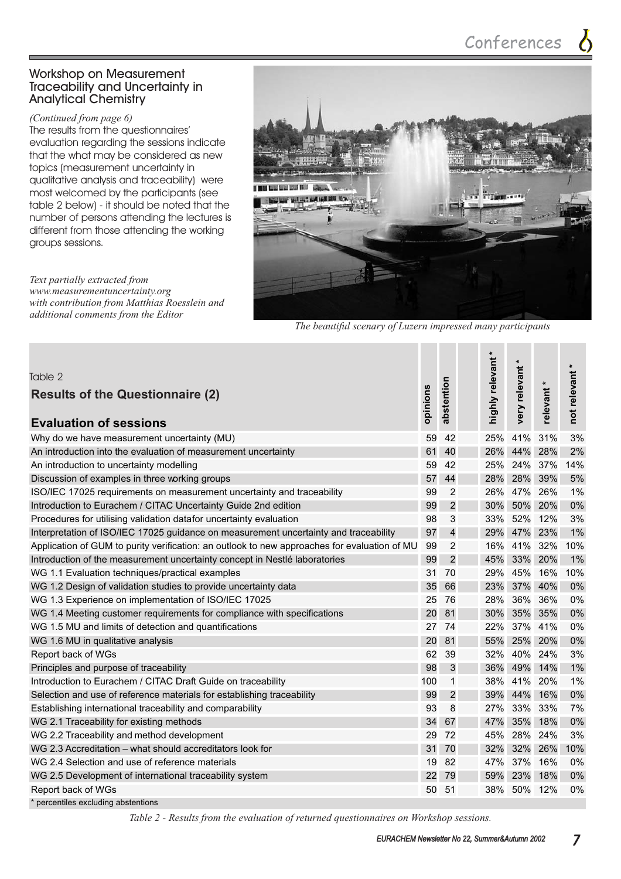#### Workshop on Measurement Traceability and Uncertainty in Analytical Chemistry

*(Continued from page 6)*

The results from the questionnaires' evaluation regarding the sessions indicate that the what may be considered as new topics (measurement uncertainty in qualitative analysis and traceability) were most welcomed by the participants (see table 2 below) - it should be noted that the number of persons attending the lectures is different from those attending the working groups sessions.

*Text partially extracted from www.measurementuncertainty.org with contribution from Matthias Roesslein and additional comments from the Editor*



*The beautiful scenary of Luzern impressed many participants*

| Table 2<br><b>Results of the Questionnaire (2)</b><br><b>Evaluation of sessions</b>          |     | abstention     | $\ast$<br>highly relevant | $\star$<br>very relevant | relevant * | $\pmb{\ast}$<br>not relevant |
|----------------------------------------------------------------------------------------------|-----|----------------|---------------------------|--------------------------|------------|------------------------------|
| Why do we have measurement uncertainty (MU)                                                  | 59  | 42             | 25%                       | 41%                      | 31%        | 3%                           |
| An introduction into the evaluation of measurement uncertainty                               | 61  | 40             | 26%                       | 44% 28%                  |            | 2%                           |
| An introduction to uncertainty modelling                                                     | 59  | 42             | 25%                       | 24% 37%                  |            | 14%                          |
| Discussion of examples in three working groups                                               | 57  | 44             | 28%                       |                          | 28% 39%    | $5%$                         |
| ISO/IEC 17025 requirements on measurement uncertainty and traceability                       | 99  | 2              | 26%                       | 47%                      | 26%        | 1%                           |
| Introduction to Eurachem / CITAC Uncertainty Guide 2nd edition                               | 99  | $\overline{c}$ | 30%                       |                          | 50% 20%    | 0%                           |
| Procedures for utilising validation datafor uncertainty evaluation                           | 98  | 3              | 33%                       |                          | 52% 12%    | 3%                           |
| Interpretation of ISO/IEC 17025 guidance on measurement uncertainty and traceability         | 97  | $\overline{4}$ | 29%                       |                          | 47% 23%    | 1%                           |
| Application of GUM to purity verification: an outlook to new approaches for evaluation of MU | 99  | 2              | 16%                       | 41%                      | 32%        | 10%                          |
| Introduction of the measurement uncertainty concept in Nestlé laboratories                   | 99  | $\overline{2}$ | 45%                       | 33%                      | 20%        | 1%                           |
| WG 1.1 Evaluation techniques/practical examples                                              | 31  | 70             | 29%                       |                          | 45% 16%    | 10%                          |
| WG 1.2 Design of validation studies to provide uncertainty data                              | 35  | 66             | 23%                       |                          | 37% 40%    | 0%                           |
| WG 1.3 Experience on implementation of ISO/IEC 17025                                         | 25  | 76             | 28%                       | 36% 36%                  |            | 0%                           |
| WG 1.4 Meeting customer requirements for compliance with specifications                      | 20  | 81             | 30%                       |                          | 35% 35%    | 0%                           |
| WG 1.5 MU and limits of detection and quantifications                                        | 27  | 74             | 22%                       | 37% 41%                  |            | 0%                           |
| WG 1.6 MU in qualitative analysis                                                            | 20  | 81             | 55%                       |                          | 25% 20%    | 0%                           |
| Report back of WGs                                                                           | 62  | 39             | 32%                       |                          | 40% 24%    | 3%                           |
| Principles and purpose of traceability                                                       | 98  | 3              | 36%                       |                          | 49% 14%    | 1%                           |
| Introduction to Eurachem / CITAC Draft Guide on traceability                                 | 100 | 1              | 38%                       | 41% 20%                  |            | 1%                           |
| Selection and use of reference materials for establishing traceability                       | 99  | $\overline{c}$ | 39%                       |                          | 44% 16%    | 0%                           |
| Establishing international traceability and comparability                                    | 93  | 8              | 27%                       |                          | 33% 33%    | 7%                           |
| WG 2.1 Traceability for existing methods                                                     | 34  | 67             | 47%                       | 35%                      | 18%        | 0%                           |
| WG 2.2 Traceability and method development                                                   | 29  | 72             | 45%                       | 28%                      | 24%        | 3%                           |
| WG 2.3 Accreditation – what should accreditators look for                                    | 31  | 70             | 32%                       | 32%                      | 26%        | 10%                          |
| WG 2.4 Selection and use of reference materials                                              | 19  | 82             | 47%                       | 37% 16%                  |            | 0%                           |
| WG 2.5 Development of international traceability system                                      | 22  | 79             | 59%                       |                          | 23% 18%    | 0%                           |
| Report back of WGs                                                                           | 50  | 51             | 38%                       | 50% 12%                  |            | 0%                           |
| percentiles excluding abstentions                                                            |     |                |                           |                          |            |                              |

*Table 2 - Results from the evaluation of returned questionnaires on Workshop sessions.*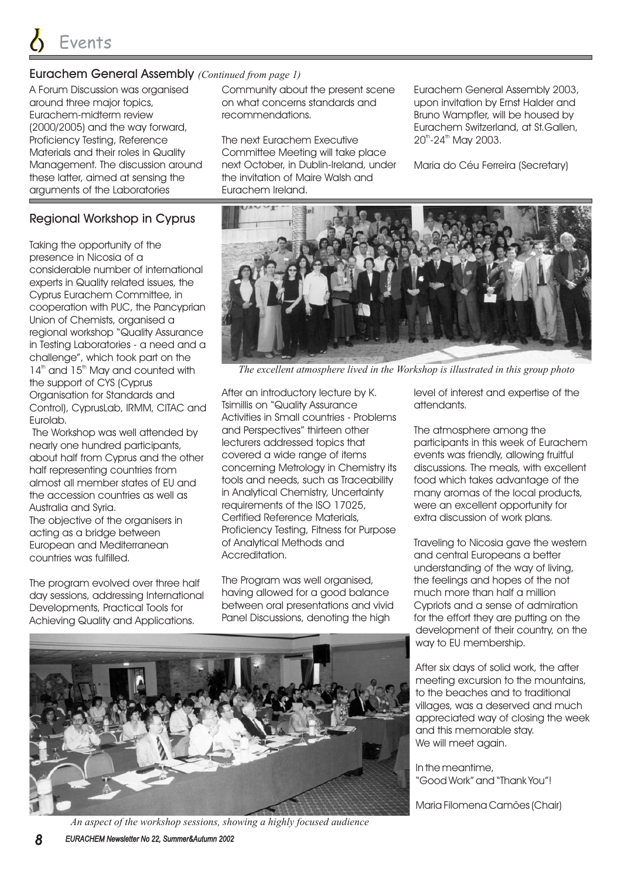#### Eurachem General Assembly *(Continued from page 1)*

A Forum Discussion was organised around three major topics, Eurachem-midterm review (2000/2005) and the way forward, Proficiency Testing, Reference Materials and their roles in Quality Management. The discussion around these latter, aimed at sensing the arguments of the Laboratories

#### Regional Workshop in Cyprus

Taking the opportunity of the presence in Nicosia of a considerable number of international experts in Quality related issues, the Cyprus Eurachem Committee, in cooperation with PUC, the Pancyprian Union of Chemists, organised a regional workshop "Quality Assurance in Testing Laboratories - a need and a challenge", which took part on the  $14<sup>th</sup>$  and  $15<sup>th</sup>$  May and counted with the support of CYS (Cyprus Organisation for Standards and Control), CyprusLab, IRMM, CITAC and Eurolab.

The Workshop was well attended by nearly one hundred participants, about half from Cyprus and the other half representing countries from almost all member states of EU and the accession countries as well as Australia and Syria.

The objective of the organisers in acting as a bridge between European and Mediterranean countries was fulfilled.

The program evolved over three half day sessions, addressing International Developments, Practical Tools for Achieving Quality and Applications.

Community about the present scene on what concerns standards and recommendations.

The next Eurachem Executive Committee Meeting will take place next October, in Dublin-Ireland, under the invitation of Maire Walsh and Eurachem Ireland.

Eurachem General Assembly 2003, upon invitation by Ernst Halder and Bruno Wampfler, will be housed by Eurachem Switzerland, at St.Gallen, 20<sup>th</sup>-24<sup>th</sup> May 2003.

Maria do Céu Ferreira (Secretary)



*The excellent atmosphere lived in the Workshop is illustrated in this group photo*

After an introductory lecture by K. Tsimillis on "Quality Assurance Activities in Small countries - Problems and Perspectives" thirteen other lecturers addressed topics that covered a wide range of items concerning Metrology in Chemistry its tools and needs, such as Traceability in Analytical Chemistry, Uncertainty requirements of the ISO 17025, Certified Reference Materials, Proficiency Testing, Fitness for Purpose of Analytical Methods and Accreditation.

The Program was well organised, having allowed for a good balance between oral presentations and vivid Panel Discussions, denoting the high



*An aspect of the workshop sessions, showing a highly focused audience*

level of interest and expertise of the attendants.

The atmosphere among the participants in this week of Eurachem events was friendly, allowing fruitful discussions. The meals, with excellent food which takes advantage of the many aromas of the local products, were an excellent opportunity for extra discussion of work plans.

Traveling to Nicosia gave the western and central Europeans a better understanding of the way of living, the feelings and hopes of the not much more than half a million Cypriots and a sense of admiration for the effort they are putting on the development of their country, on the way to EU membership.

After six days of solid work, the after meeting excursion to the mountains, to the beaches and to traditional villages, was a deserved and much appreciated way of closing the week and this memorable stay. We will meet again.

In the meantime, "Good Work" and "Thank You"!

Maria Filomena Camões (Chair)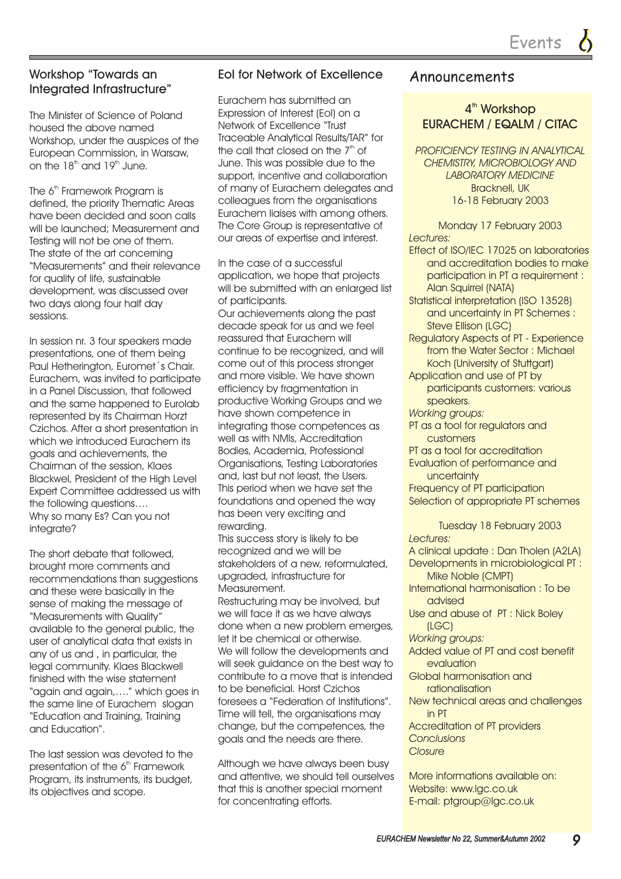#### Workshop "Towards an Integrated Infrastructure"

The Minister of Science of Poland housed the above named Workshop, under the auspices of the European Commission, in Warsaw, on the  $18^{\text{\tiny{th}}}$  and  $19^{\text{\tiny{th}}}$  June.

The  $6^{\text{th}}$  Framework Program is defined, the priority Thematic Areas have been decided and soon calls will be launched; Measurement and Testing will not be one of them. The state of the art concerning "Measurements" and their relevance for quality of life, sustainable development, was discussed over two days along four half day sessions.

In session nr. 3 four speakers made presentations, one of them being Paul Hetherington, Euromet´s Chair. Eurachem, was invited to participate in a Panel Discussion, that followed and the same happened to Eurolab represented by its Chairman Horzt Czichos. After a short presentation in which we introduced Eurachem its goals and achievements, the Chairman of the session, Klaes Blackwel, President of the High Level Expert Committee addressed us with the following questions…. Why so many Es? Can you not integrate?

The short debate that followed, brought more comments and recommendations than suggestions and these were basically in the sense of making the message of "Measurements with Quality" available to the general public, the user of analytical data that exists in any of us and , in particular, the legal community. Klaes Blackwell finished with the wise statement "again and again,…." which goes in the same line of Eurachem slogan "Education and Training, Training and Education".

The last session was devoted to the presentation of the  $6^{\text{\tiny th}}$  Framework Program, its instruments, its budget, its objectives and scope.

#### EoI for Network of Excellence

Eurachem has submitted an Expression of Interest (EoI) on a Network of Excellence "Trust Traceable Analytical Results/TAR" for the call that closed on the  $7<sup>th</sup>$  of June. This was possible due to the support, incentive and collaboration of many of Eurachem delegates and colleagues from the organisations Eurachem liaises with among others. The Core Group is representative of our areas of expertise and interest.

In the case of a successful application, we hope that projects will be submitted with an enlarged list of participants.

Our achievements along the past decade speak for us and we feel reassured that Eurachem will continue to be recognized, and will come out of this process stronger and more visible. We have shown efficiency by fragmentation in productive Working Groups and we have shown competence in integrating those competences as well as with NMIs, Accreditation Bodies, Academia, Professional Organisations, Testing Laboratories and, last but not least, the Users. This period when we have set the foundations and opened the way has been very exciting and rewarding.

This success story is likely to be recognized and we will be stakeholders of a new, reformulated, upgraded, infrastructure for Measurement.

Restructuring may be involved, but we will face it as we have always done when a new problem emerges, let it be chemical or otherwise. We will follow the developments and will seek guidance on the best way to contribute to a move that is intended to be beneficial. Horst Czichos foresees a "Federation of Institutions". Time will tell, the organisations may change, but the competences, the goals and the needs are there.

Although we have always been busy and attentive, we should tell ourselves that this is another special moment for concentrating efforts.

# Announcements

#### 4<sup>th</sup> Workshop EURACHEM / EQALM / CITAC

*PROFICIENCY TESTING IN ANALYTICAL CHEMISTRY, MICROBIOLOGY AND LABORATORY MEDICINE* Bracknell, UK 16-18 February 2003

*Lectures:* Monday 17 February 2003

- Effect of ISO/IEC 17025 on laboratories and accreditation bodies to make participation in PT a requirement : Alan Squirrel (NATA)
- Statistical interpretation (ISO 13528) and uncertainty in PT Schemes : Steve Ellison (LGC)
- Regulatory Aspects of PT Experience from the Water Sector : Michael Koch (University of Stuttgart)
- Application and use of PT by participants customers: various speakers.
- *Working groups:*
- PT as a tool for regulators and customers
- PT as a tool for accreditation
- Evaluation of performance and uncertainty

Frequency of PT participation Selection of appropriate PT schemes

*Lectures: Working groups: Conclusions* Tuesday 18 February 2003 A clinical update : Dan Tholen (A2LA) Developments in microbiological PT : Mike Noble (CMPT) International harmonisation : To be advised Use and abuse of PT : Nick Boley (LGC) Added value of PT and cost benefit evaluation Global harmonisation and rationalisation New technical areas and challenges in PT Accreditation of PT providers

#### *Closure*

More informations available on: Website: www.lgc.co.uk E-mail: ptgroup@lgc.co.uk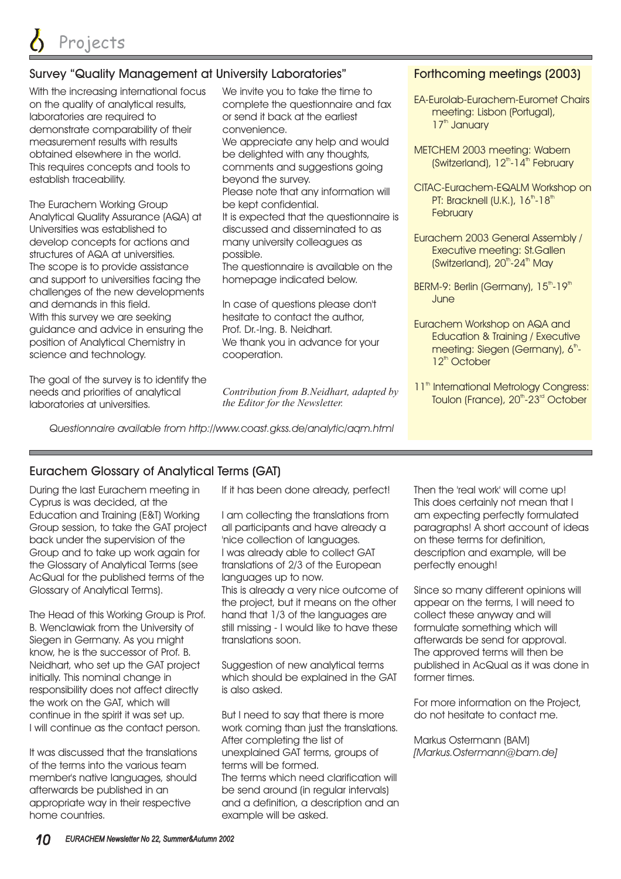#### Survey "Quality Management at University Laboratories"

With the increasing international focus on the quality of analytical results, laboratories are required to demonstrate comparability of their measurement results with results obtained elsewhere in the world. This requires concepts and tools to establish traceability.

The Eurachem Working Group Analytical Quality Assurance (AQA) at Universities was established to develop concepts for actions and structures of AQA at universities. The scope is to provide assistance and support to universities facing the challenges of the new developments and demands in this field. With this survey we are seeking guidance and advice in ensuring the position of Analytical Chemistry in science and technology.

The goal of the survey is to identify the needs and priorities of analytical laboratories at universities.

We invite you to take the time to complete the questionnaire and fax or send it back at the earliest convenience.

We appreciate any help and would be delighted with any thoughts, comments and suggestions going beyond the survey.

Please note that any information will be kept confidential.

It is expected that the questionnaire is discussed and disseminated to as many university colleagues as possible.

The questionnaire is available on the homepage indicated below.

In case of questions please don't hesitate to contact the author, We thank you in advance for your cooperation. Prof. Dr.-Ing. B. Neidhart.

*Contribution from B.Neidhart, adapted by the Editor for the Newsletter.*

*Questionnaire available from http://www.coast.gkss.de/analytic/aqm.html*

#### Forthcoming meetings (2003)

- EA-Eurolab-Eurachem-Euromet Chairs meeting: Lisbon (Portugal), 17<sup>th</sup> January
- METCHEM 2003 meeting: Wabern (Switzerland), 12<sup>th</sup>-14<sup>th</sup> February
- CITAC-Eurachem-EQALM Workshop on PT: Bracknell (U.K.), 16<sup>th</sup>-18<sup>th</sup> **February**
- Eurachem 2003 General Assembly / Executive meeting: St.Gallen (Switzerland), 20<sup>th</sup>-24<sup>th</sup> May
- BERM-9: Berlin (Germany), 15<sup>th</sup>-19<sup>th</sup> **June**
- Eurachem Workshop on AQA and Education & Training / Executive meeting: Siegen (Germany), 6<sup>th</sup>-12<sup>th</sup> October
- 11<sup>th</sup> International Metrology Congress: Toulon (France), 20<sup>th</sup>-23<sup>rd</sup> October

#### Eurachem Glossary of Analytical Terms (GAT)

During the last Eurachem meeting in Cyprus is was decided, at the Education and Training (E&T) Working Group session, to take the GAT project back under the supervision of the Group and to take up work again for the Glossary of Analytical Terms (see AcQual for the published terms of the Glossary of Analytical Terms).

The Head of this Working Group is Prof. B. Wenclawiak from the University of Siegen in Germany. As you might know, he is the successor of Prof. B. Neidhart, who set up the GAT project initially. This nominal change in responsibility does not affect directly the work on the GAT, which will continue in the spirit it was set up. I will continue as the contact person.

It was discussed that the translations of the terms into the various team member's native languages, should afterwards be published in an appropriate way in their respective home countries.

If it has been done already, perfect!

I am collecting the translations from all participants and have already a 'nice collection of languages. I was already able to collect GAT translations of 2/3 of the European languages up to now. This is already a very nice outcome of the project, but it means on the other hand that 1/3 of the languages are still missing - I would like to have these translations soon.

Suggestion of new analytical terms which should be explained in the GAT is also asked.

But I need to say that there is more work coming than just the translations. After completing the list of unexplained GAT terms, groups of terms will be formed. The terms which need clarification will be send around (in regular intervals) and a definition, a description and an example will be asked.

Then the 'real work' will come up! This does certainly not mean that I am expecting perfectly formulated paragraphs! A short account of ideas on these terms for definition, description and example, will be perfectly enough!

Since so many different opinions will appear on the terms, I will need to collect these anyway and will formulate something which will afterwards be send for approval. The approved terms will then be published in AcQual as it was done in former times.

For more information on the Project, do not hesitate to contact me.

Markus Ostermann (BAM) *[Markus.Ostermann@bam.de]*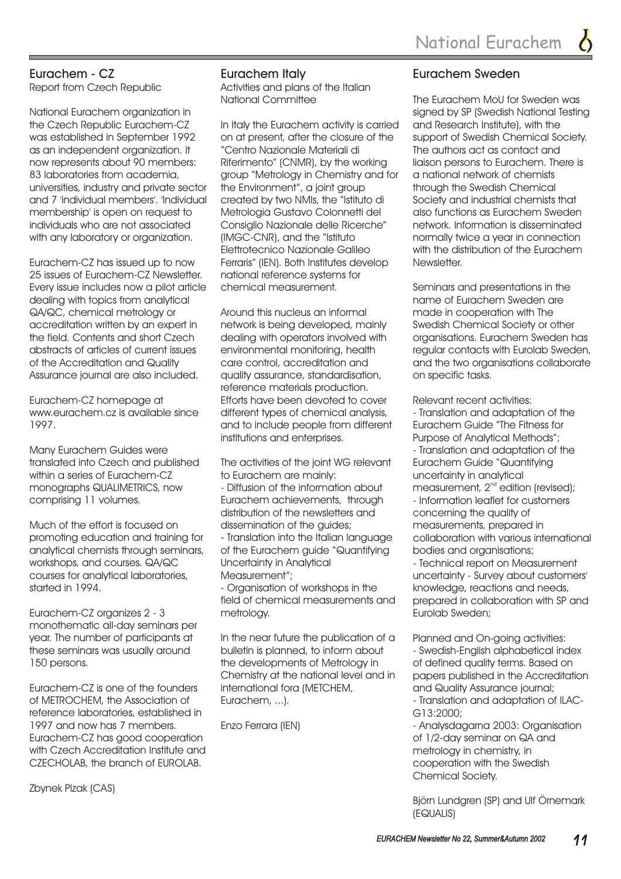#### Eurachem - CZ

Report from Czech Republic

National Eurachem organization in the Czech Republic Eurachem-CZ was established in September 1992 as an independent organization. It now represents about 90 members: 83 laboratories from academia, universities, industry and private sector and 7 'individual members'. 'Individual membership' is open on request to individuals who are not associated with any laboratory or organization.

Eurachem-CZ has issued up to now 25 issues of Eurachem-CZ Newsletter. Every issue includes now a pilot article dealing with topics from analytical QA/QC, chemical metrology or accreditation written by an expert in the field. Contents and short Czech abstracts of articles of current issues of the Accreditation and Quality Assurance journal are also included.

Eurachem-CZ homepage at www.eurachem.cz is available since 1997.

Many Eurachem Guides were translated into Czech and published within a series of Eurachem-CZ monographs QUALIMETRICS, now comprising 11 volumes.

Much of the effort is focused on promoting education and training for analytical chemists through seminars, workshops, and courses. QA/QC courses for analytical laboratories, started in 1994.

Eurachem-CZ organizes 2 - 3 monothematic all-day seminars per year. The number of participants at these seminars was usually around 150 persons.

Eurachem-CZ is one of the founders of METROCHEM, the Association of reference laboratories, established in 1997 and now has 7 members. Eurachem-CZ has good cooperation with Czech Accreditation Institute and CZECHOLAB, the branch of EUROLAB.

Zbynek Plzak (CAS)

#### Eurachem Italy

Activities and plans of the Italian National Committee

In Italy the Eurachem activity is carried on at present, after the closure of the "Centro Nazionale Materiali di Riferimento" (CNMR), by the working group "Metrology in Chemistry and for the Environment", a joint group created by two NMIs, the "Istituto di Metrologia Gustavo Colonnetti del Consiglio Nazionale delle Ricerche" (IMGC-CNR), and the "Istituto Elettrotecnico Nazionale Galileo Ferraris" (IEN). Both Institutes develop national reference systems for chemical measurement.

Around this nucleus an informal network is being developed, mainly dealing with operators involved with environmental monitoring, health care control, accreditation and quality assurance, standardisation, reference materials production. Efforts have been devoted to cover different types of chemical analysis, and to include people from different institutions and enterprises.

The activities of the joint WG relevant to Eurachem are mainly: - Diffusion of the information about Eurachem achievements, through distribution of the newsletters and dissemination of the guides; - Translation into the Italian language of the Eurachem guide "Quantifying Uncertainty in Analytical Measurement";

- Organisation of workshops in the field of chemical measurements and metrology.

In the near future the publication of a bulletin is planned, to inform about the developments of Metrology in Chemistry at the national level and in international fora (METCHEM, Eurachem, ...).

Enzo Ferrara (IEN)

#### Eurachem Sweden

The Eurachem MoU for Sweden was signed by SP (Swedish National Testing and Research Institute), with the support of Swedish Chemical Society. The authors act as contact and liaison persons to Eurachem. There is a national network of chemists through the Swedish Chemical Society and industrial chemists that also functions as Eurachem Sweden network. Information is disseminated normally twice a year in connection with the distribution of the Eurachem Newsletter.

Seminars and presentations in the name of Eurachem Sweden are made in cooperation with The Swedish Chemical Society or other organisations. Eurachem Sweden has regular contacts with Eurolab Sweden, and the two organisations collaborate on specific tasks.

Relevant recent activities:

- Translation and adaptation of the Eurachem Guide "The Fitness for Purpose of Analytical Methods"; - Technical report on Measurement uncertainty - Survey about customers' knowledge, reactions and needs, prepared in collaboration with SP and Eurolab Sweden; - Translation and adaptation of the Eurachem Guide "Quantifying uncertainty in analytical measurement,  $2^{nd}$  edition (revised); - Information leaflet for customers concerning the quality of measurements, prepared in collaboration with various international bodies and organisations;

Planned and On-going activities: - Swedish-English alphabetical index of defined quality terms. Based on papers published in the Accreditation and Quality Assurance journal; - Translation and adaptation of ILAC-G13:2000;

- Analysdagarna 2003: Organisation of 1/2-day seminar on QA and metrology in chemistry, in cooperation with the Swedish Chemical Society.

Björn Lundgren (SP) and Ulf Örnemark (EQUALIS)